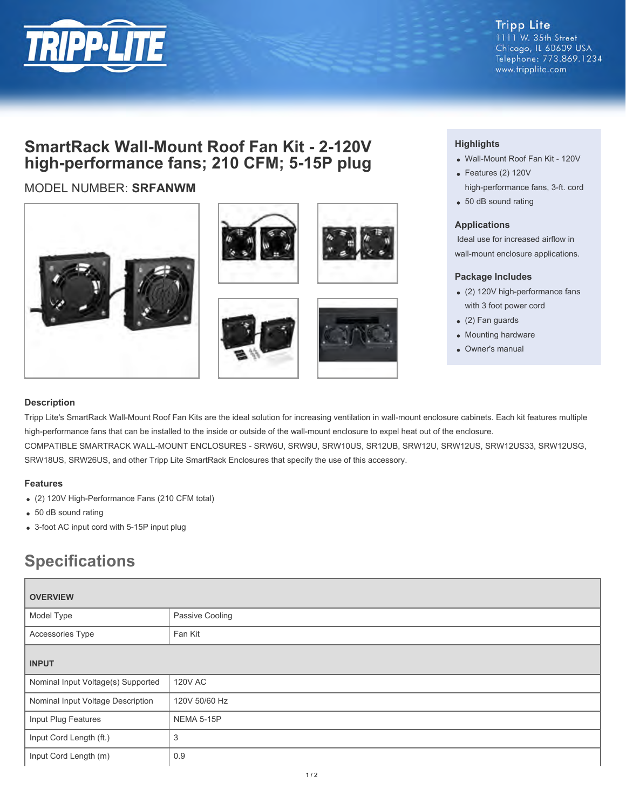

**Tripp Lite** 1111 W. 35th Street Chicago, IL 60609 USA Telephone: 773.869.1234 www.tripplite.com

## **SmartRack Wall-Mount Roof Fan Kit - 2-120V high-performance fans; 210 CFM; 5-15P plug**

### MODEL NUMBER: **SRFANWM**









#### **Highlights**

- Wall-Mount Roof Fan Kit 120V
- Features (2) 120V high-performance fans, 3-ft. cord
- 50 dB sound rating

#### **Applications**

 Ideal use for increased airflow in wall-mount enclosure applications.

#### **Package Includes**

- (2) 120V high-performance fans with 3 foot power cord
- (2) Fan guards
- Mounting hardware
- Owner's manual

#### **Description**

Tripp Lite's SmartRack Wall-Mount Roof Fan Kits are the ideal solution for increasing ventilation in wall-mount enclosure cabinets. Each kit features multiple high-performance fans that can be installed to the inside or outside of the wall-mount enclosure to expel heat out of the enclosure. COMPATIBLE SMARTRACK WALL-MOUNT ENCLOSURES - SRW6U, SRW9U, SRW10US, SR12UB, SRW12U, SRW12US, SRW12US33, SRW12USG, SRW18US, SRW26US, and other Tripp Lite SmartRack Enclosures that specify the use of this accessory.

#### **Features**

- (2) 120V High-Performance Fans (210 CFM total)
- 50 dB sound rating
- 3-foot AC input cord with 5-15P input plug

# **Specifications**

| <b>OVERVIEW</b>                    |                   |
|------------------------------------|-------------------|
| Model Type                         | Passive Cooling   |
| Accessories Type                   | Fan Kit           |
| <b>INPUT</b>                       |                   |
| Nominal Input Voltage(s) Supported | <b>120V AC</b>    |
| Nominal Input Voltage Description  | 120V 50/60 Hz     |
| Input Plug Features                | <b>NEMA 5-15P</b> |
| Input Cord Length (ft.)            | 3                 |
| Input Cord Length (m)              | 0.9               |